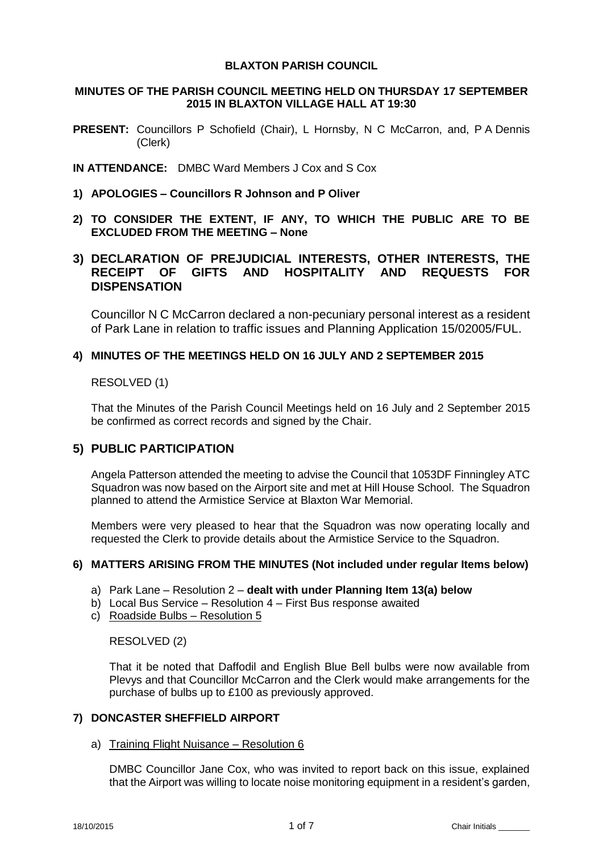# **BLAXTON PARISH COUNCIL**

### **MINUTES OF THE PARISH COUNCIL MEETING HELD ON THURSDAY 17 SEPTEMBER 2015 IN BLAXTON VILLAGE HALL AT 19:30**

**PRESENT:** Councillors P Schofield (Chair), L Hornsby, N C McCarron, and, P A Dennis (Clerk)

**IN ATTENDANCE:** DMBC Ward Members J Cox and S Cox

- **1) APOLOGIES – Councillors R Johnson and P Oliver**
- **2) TO CONSIDER THE EXTENT, IF ANY, TO WHICH THE PUBLIC ARE TO BE EXCLUDED FROM THE MEETING – None**

# **3) DECLARATION OF PREJUDICIAL INTERESTS, OTHER INTERESTS, THE RECEIPT OF GIFTS AND HOSPITALITY AND REQUESTS FOR DISPENSATION**

Councillor N C McCarron declared a non-pecuniary personal interest as a resident of Park Lane in relation to traffic issues and Planning Application 15/02005/FUL.

### **4) MINUTES OF THE MEETINGS HELD ON 16 JULY AND 2 SEPTEMBER 2015**

# RESOLVED (1)

That the Minutes of the Parish Council Meetings held on 16 July and 2 September 2015 be confirmed as correct records and signed by the Chair.

# **5) PUBLIC PARTICIPATION**

Angela Patterson attended the meeting to advise the Council that 1053DF Finningley ATC Squadron was now based on the Airport site and met at Hill House School. The Squadron planned to attend the Armistice Service at Blaxton War Memorial.

Members were very pleased to hear that the Squadron was now operating locally and requested the Clerk to provide details about the Armistice Service to the Squadron.

# **6) MATTERS ARISING FROM THE MINUTES (Not included under regular Items below)**

- a) Park Lane Resolution 2 **dealt with under Planning Item 13(a) below**
- b) Local Bus Service Resolution 4 First Bus response awaited
- c) Roadside Bulbs Resolution 5

# RESOLVED (2)

That it be noted that Daffodil and English Blue Bell bulbs were now available from Plevys and that Councillor McCarron and the Clerk would make arrangements for the purchase of bulbs up to £100 as previously approved.

# **7) DONCASTER SHEFFIELD AIRPORT**

#### a) Training Flight Nuisance – Resolution 6

DMBC Councillor Jane Cox, who was invited to report back on this issue, explained that the Airport was willing to locate noise monitoring equipment in a resident's garden,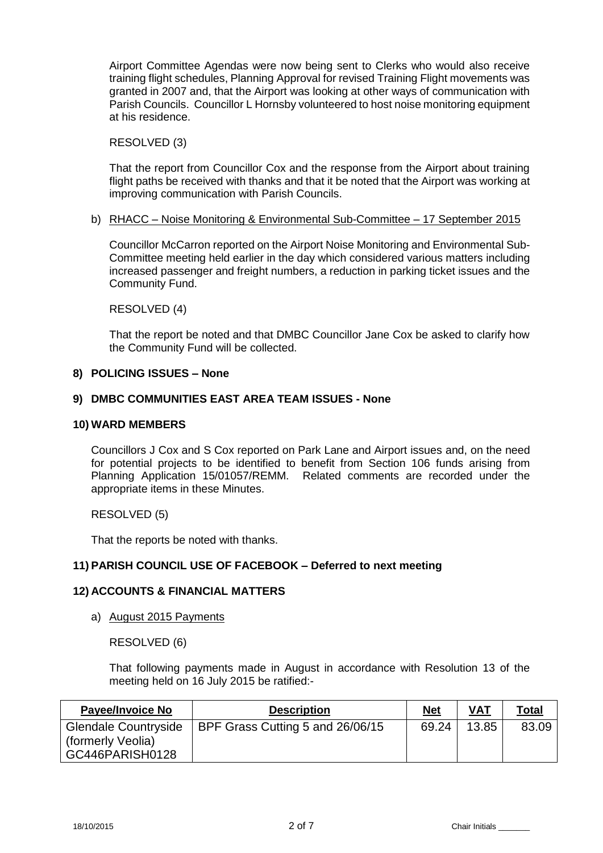Airport Committee Agendas were now being sent to Clerks who would also receive training flight schedules, Planning Approval for revised Training Flight movements was granted in 2007 and, that the Airport was looking at other ways of communication with Parish Councils. Councillor L Hornsby volunteered to host noise monitoring equipment at his residence.

### RESOLVED (3)

That the report from Councillor Cox and the response from the Airport about training flight paths be received with thanks and that it be noted that the Airport was working at improving communication with Parish Councils.

### b) RHACC – Noise Monitoring & Environmental Sub-Committee – 17 September 2015

Councillor McCarron reported on the Airport Noise Monitoring and Environmental Sub-Committee meeting held earlier in the day which considered various matters including increased passenger and freight numbers, a reduction in parking ticket issues and the Community Fund.

# RESOLVED (4)

That the report be noted and that DMBC Councillor Jane Cox be asked to clarify how the Community Fund will be collected.

### **8) POLICING ISSUES – None**

### **9) DMBC COMMUNITIES EAST AREA TEAM ISSUES - None**

#### **10) WARD MEMBERS**

Councillors J Cox and S Cox reported on Park Lane and Airport issues and, on the need for potential projects to be identified to benefit from Section 106 funds arising from Planning Application 15/01057/REMM. Related comments are recorded under the appropriate items in these Minutes.

# RESOLVED (5)

That the reports be noted with thanks.

# **11) PARISH COUNCIL USE OF FACEBOOK – Deferred to next meeting**

# **12) ACCOUNTS & FINANCIAL MATTERS**

a) August 2015 Payments

RESOLVED (6)

That following payments made in August in accordance with Resolution 13 of the meeting held on 16 July 2015 be ratified:-

| <b>Payee/Invoice No</b>                                             | <b>Description</b>               | Net   | <b>VAT</b> | Total |
|---------------------------------------------------------------------|----------------------------------|-------|------------|-------|
| <b>Glendale Countryside</b><br>(formerly Veolia)<br>GC446PARISH0128 | BPF Grass Cutting 5 and 26/06/15 | 69.24 | 13.85      | 83.09 |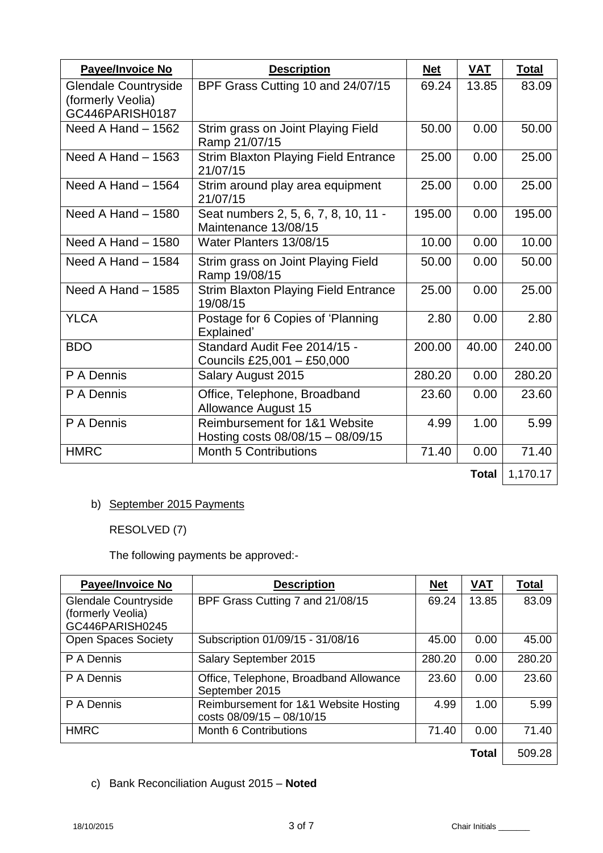| <b>Payee/Invoice No</b>                                             | <b>Description</b>                                                   | <b>Net</b> | <b>VAT</b>   | <b>Total</b> |
|---------------------------------------------------------------------|----------------------------------------------------------------------|------------|--------------|--------------|
| <b>Glendale Countryside</b><br>(formerly Veolia)<br>GC446PARISH0187 | BPF Grass Cutting 10 and 24/07/15                                    | 69.24      | 13.85        | 83.09        |
| Need A Hand - 1562                                                  | Strim grass on Joint Playing Field<br>Ramp 21/07/15                  | 50.00      | 0.00         | 50.00        |
| Need A Hand $-1563$                                                 | <b>Strim Blaxton Playing Field Entrance</b><br>21/07/15              | 25.00      | 0.00         | 25.00        |
| Need A Hand $-1564$                                                 | Strim around play area equipment<br>21/07/15                         | 25.00      | 0.00         | 25.00        |
| Need A Hand $-1580$                                                 | Seat numbers 2, 5, 6, 7, 8, 10, 11 -<br>Maintenance 13/08/15         | 195.00     | 0.00         | 195.00       |
| Need A Hand $-1580$                                                 | Water Planters 13/08/15                                              | 10.00      | 0.00         | 10.00        |
| Need A Hand $-1584$                                                 | Strim grass on Joint Playing Field<br>Ramp 19/08/15                  | 50.00      | 0.00         | 50.00        |
| Need A Hand $-1585$                                                 | <b>Strim Blaxton Playing Field Entrance</b><br>19/08/15              | 25.00      | 0.00         | 25.00        |
| <b>YLCA</b>                                                         | Postage for 6 Copies of 'Planning<br>Explained'                      | 2.80       | 0.00         | 2.80         |
| <b>BDO</b>                                                          | Standard Audit Fee 2014/15 -<br>Councils £25,001 - £50,000           | 200.00     | 40.00        | 240.00       |
| P A Dennis                                                          | Salary August 2015                                                   | 280.20     | 0.00         | 280.20       |
| P A Dennis                                                          | Office, Telephone, Broadband<br><b>Allowance August 15</b>           | 23.60      | 0.00         | 23.60        |
| P A Dennis                                                          | Reimbursement for 1&1 Website<br>Hosting costs $08/08/15 - 08/09/15$ | 4.99       | 1.00         | 5.99         |
| <b>HMRC</b>                                                         | <b>Month 5 Contributions</b>                                         | 71.40      | 0.00         | 71.40        |
|                                                                     |                                                                      |            | <b>Total</b> | 1,170.17     |

# b) September 2015 Payments

RESOLVED (7)

The following payments be approved:-

| <b>Payee/Invoice No</b>     | <b>Description</b>                                                 | <b>Net</b> | <b>VAT</b>   | <b>Total</b> |
|-----------------------------|--------------------------------------------------------------------|------------|--------------|--------------|
| <b>Glendale Countryside</b> | BPF Grass Cutting 7 and 21/08/15                                   | 69.24      | 13.85        | 83.09        |
| (formerly Veolia)           |                                                                    |            |              |              |
| GC446PARISH0245             |                                                                    |            |              |              |
| <b>Open Spaces Society</b>  | Subscription 01/09/15 - 31/08/16                                   | 45.00      | 0.00         | 45.00        |
| P A Dennis                  | Salary September 2015                                              | 280.20     | 0.00         | 280.20       |
| P A Dennis                  | Office, Telephone, Broadband Allowance<br>September 2015           | 23.60      | 0.00         | 23.60        |
| P A Dennis                  | Reimbursement for 1&1 Website Hosting<br>costs 08/09/15 - 08/10/15 | 4.99       | 1.00         | 5.99         |
| <b>HMRC</b>                 | <b>Month 6 Contributions</b>                                       | 71.40      | 0.00         | 71.40        |
|                             |                                                                    |            | <b>Total</b> | 509.28       |

c) Bank Reconciliation August 2015 – **Noted**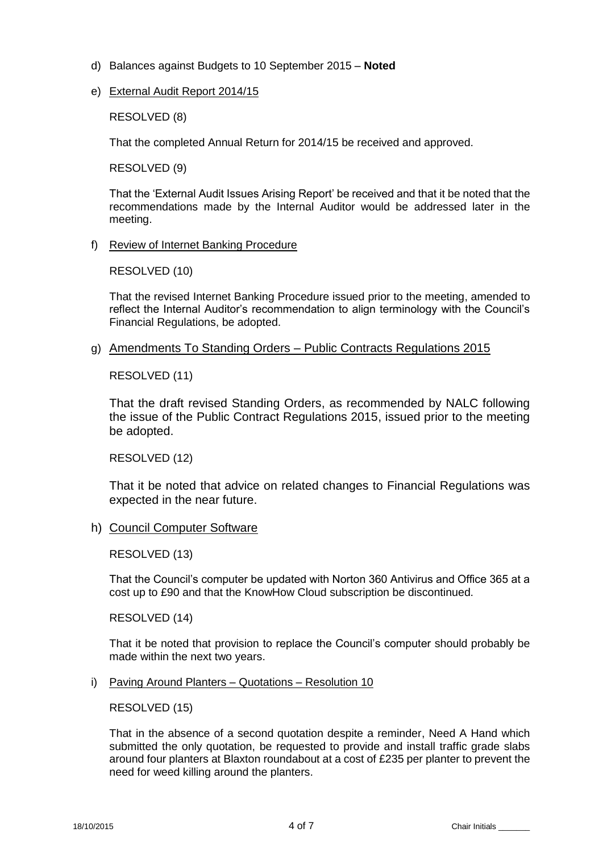- d) Balances against Budgets to 10 September 2015 **Noted**
- e) External Audit Report 2014/15

RESOLVED (8)

That the completed Annual Return for 2014/15 be received and approved.

RESOLVED (9)

That the 'External Audit Issues Arising Report' be received and that it be noted that the recommendations made by the Internal Auditor would be addressed later in the meeting.

f) Review of Internet Banking Procedure

RESOLVED (10)

That the revised Internet Banking Procedure issued prior to the meeting, amended to reflect the Internal Auditor's recommendation to align terminology with the Council's Financial Regulations, be adopted.

g) Amendments To Standing Orders – Public Contracts Regulations 2015

RESOLVED (11)

That the draft revised Standing Orders, as recommended by NALC following the issue of the Public Contract Regulations 2015, issued prior to the meeting be adopted.

RESOLVED (12)

That it be noted that advice on related changes to Financial Regulations was expected in the near future.

h) Council Computer Software

RESOLVED (13)

That the Council's computer be updated with Norton 360 Antivirus and Office 365 at a cost up to £90 and that the KnowHow Cloud subscription be discontinued.

RESOLVED (14)

That it be noted that provision to replace the Council's computer should probably be made within the next two years.

i) Paving Around Planters – Quotations – Resolution 10

RESOLVED (15)

That in the absence of a second quotation despite a reminder, Need A Hand which submitted the only quotation, be requested to provide and install traffic grade slabs around four planters at Blaxton roundabout at a cost of £235 per planter to prevent the need for weed killing around the planters.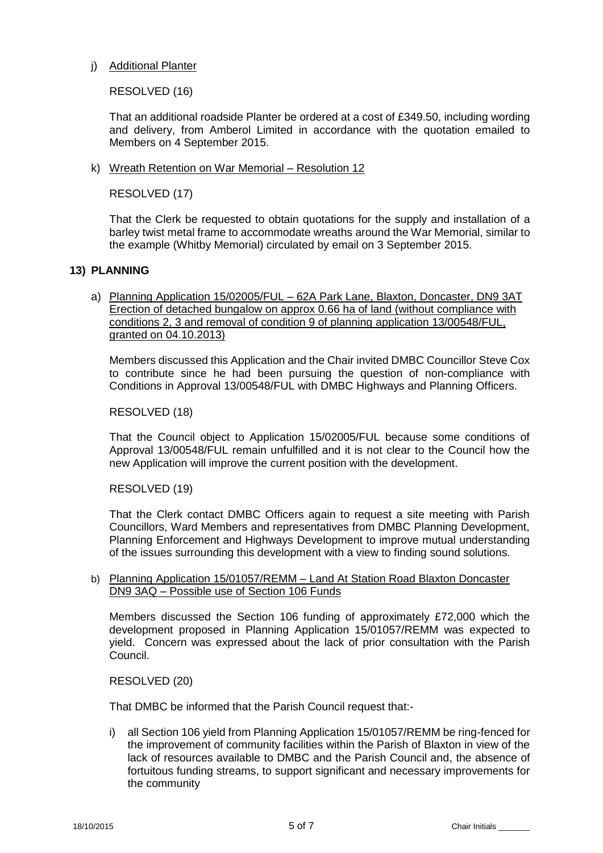# j) Additional Planter

# RESOLVED (16)

That an additional roadside Planter be ordered at a cost of £349.50, including wording and delivery, from Amberol Limited in accordance with the quotation emailed to Members on 4 September 2015.

k) Wreath Retention on War Memorial – Resolution 12

RESOLVED (17)

That the Clerk be requested to obtain quotations for the supply and installation of a barley twist metal frame to accommodate wreaths around the War Memorial, similar to the example (Whitby Memorial) circulated by email on 3 September 2015.

# **13) PLANNING**

a) Planning Application 15/02005/FUL – 62A Park Lane, Blaxton, Doncaster, DN9 3AT Erection of detached bungalow on approx 0.66 ha of land (without compliance with conditions 2, 3 and removal of condition 9 of planning application 13/00548/FUL, granted on 04.10.2013)

Members discussed this Application and the Chair invited DMBC Councillor Steve Cox to contribute since he had been pursuing the question of non-compliance with Conditions in Approval 13/00548/FUL with DMBC Highways and Planning Officers.

### RESOLVED (18)

That the Council object to Application 15/02005/FUL because some conditions of Approval 13/00548/FUL remain unfulfilled and it is not clear to the Council how the new Application will improve the current position with the development.

# RESOLVED (19)

That the Clerk contact DMBC Officers again to request a site meeting with Parish Councillors, Ward Members and representatives from DMBC Planning Development, Planning Enforcement and Highways Development to improve mutual understanding of the issues surrounding this development with a view to finding sound solutions.

### b) Planning Application 15/01057/REMM – Land At Station Road Blaxton Doncaster DN9 3AQ – Possible use of Section 106 Funds

Members discussed the Section 106 funding of approximately £72,000 which the development proposed in Planning Application 15/01057/REMM was expected to yield. Concern was expressed about the lack of prior consultation with the Parish Council.

# RESOLVED (20)

That DMBC be informed that the Parish Council request that:-

i) all Section 106 yield from Planning Application 15/01057/REMM be ring-fenced for the improvement of community facilities within the Parish of Blaxton in view of the lack of resources available to DMBC and the Parish Council and, the absence of fortuitous funding streams, to support significant and necessary improvements for the community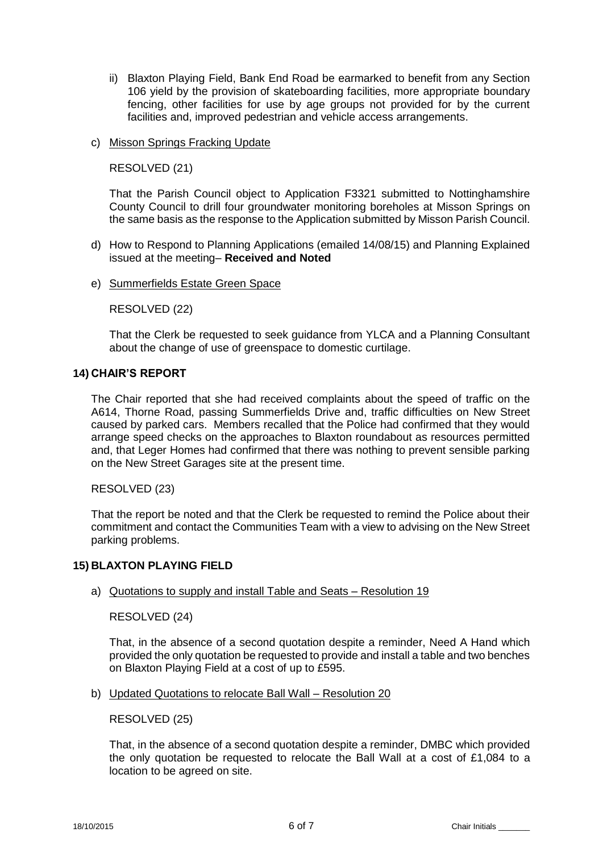- ii) Blaxton Playing Field, Bank End Road be earmarked to benefit from any Section 106 yield by the provision of skateboarding facilities, more appropriate boundary fencing, other facilities for use by age groups not provided for by the current facilities and, improved pedestrian and vehicle access arrangements.
- c) Misson Springs Fracking Update

### RESOLVED (21)

That the Parish Council object to Application F3321 submitted to Nottinghamshire County Council to drill four groundwater monitoring boreholes at Misson Springs on the same basis as the response to the Application submitted by Misson Parish Council.

- d) How to Respond to Planning Applications (emailed 14/08/15) and Planning Explained issued at the meeting– **Received and Noted**
- e) Summerfields Estate Green Space

# RESOLVED (22)

That the Clerk be requested to seek guidance from YLCA and a Planning Consultant about the change of use of greenspace to domestic curtilage.

### **14) CHAIR'S REPORT**

The Chair reported that she had received complaints about the speed of traffic on the A614, Thorne Road, passing Summerfields Drive and, traffic difficulties on New Street caused by parked cars. Members recalled that the Police had confirmed that they would arrange speed checks on the approaches to Blaxton roundabout as resources permitted and, that Leger Homes had confirmed that there was nothing to prevent sensible parking on the New Street Garages site at the present time.

#### RESOLVED (23)

That the report be noted and that the Clerk be requested to remind the Police about their commitment and contact the Communities Team with a view to advising on the New Street parking problems.

#### **15) BLAXTON PLAYING FIELD**

# a) Quotations to supply and install Table and Seats – Resolution 19

# RESOLVED (24)

That, in the absence of a second quotation despite a reminder, Need A Hand which provided the only quotation be requested to provide and install a table and two benches on Blaxton Playing Field at a cost of up to £595.

b) Updated Quotations to relocate Ball Wall – Resolution 20

RESOLVED (25)

That, in the absence of a second quotation despite a reminder, DMBC which provided the only quotation be requested to relocate the Ball Wall at a cost of £1,084 to a location to be agreed on site.